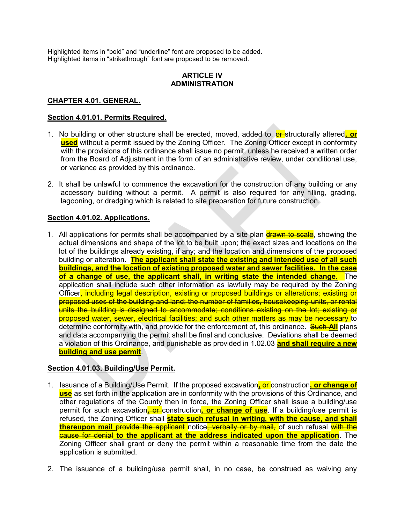Highlighted items in "bold" and "underline" font are proposed to be added. Highlighted items in "strikethrough" font are proposed to be removed.

# ARTICLE IV ADMINISTRATION

# CHAPTER 4.01. GENERAL.

### Section 4.01.01. Permits Required.

- 1. No building or other structure shall be erected, moved, added to, **er-**structurally altered, or used without a permit issued by the Zoning Officer. The Zoning Officer except in conformity with the provisions of this ordinance shall issue no permit, unless he received a written order from the Board of Adjustment in the form of an administrative review, under conditional use, or variance as provided by this ordinance.
- 2. It shall be unlawful to commence the excavation for the construction of any building or any accessory building without a permit. A permit is also required for any filling, grading, lagooning, or dredging which is related to site preparation for future construction.

# Section 4.01.02. Applications.

1. All applications for permits shall be accompanied by a site plan drawn to scale, showing the actual dimensions and shape of the lot to be built upon; the exact sizes and locations on the lot of the buildings already existing, if any; and the location and dimensions of the proposed building or alteration. The applicant shall state the existing and intended use of all such buildings, and the location of existing proposed water and sewer facilities. In the case of a change of use, the applicant shall, in writing state the intended change. The application shall include such other information as lawfully may be required by the Zoning Officer<del>, including legal description, existing or proposed buildings or alterations; existing or</del> proposed uses of the building and land; the number of families, housekeeping units, or rental units the building is designed to accommodate; conditions existing on the lot; existing or proposed water, sewer, electrical facilities; and such other matters as may be necessary to determine conformity with, and provide for the enforcement of, this ordinance. Such All plans and data accompanying the permit shall be final and conclusive. Deviations shall be deemed a violation of this Ordinance, and punishable as provided in 1.02.03 and shall require a new building and use permit.

# Section 4.01.03. Building/Use Permit.

- 1. Issuance of a Building/Use Permit. If the proposed excavation, or construction, or change of use as set forth in the application are in conformity with the provisions of this Ordinance, and other regulations of the County then in force, the Zoning Officer shall issue a building/use permit for such excavation, or construction, or change of use. If a building/use permit is refused, the Zoning Officer shall **state such refusal in writing, with the cause, and shall** thereupon mail provide the applicant notice, verbally or by mail, of such refusal with the cause for denial to the applicant at the address indicated upon the application. The Zoning Officer shall grant or deny the permit within a reasonable time from the date the application is submitted.
- 2. The issuance of a building/use permit shall, in no case, be construed as waiving any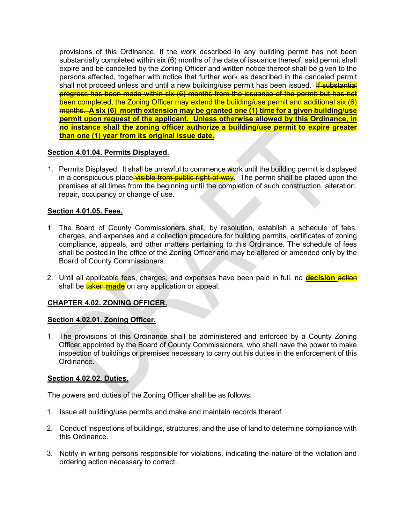provisions of this Ordinance. If the work described in any building permit has not been substantially completed within six (6) months of the date of issuance thereof, said permit shall expire and be cancelled by the Zoning Officer and written notice thereof shall be given to the persons affected, together with notice that further work as described in the canceled permit shall not proceed unless and until a new building/use permit has been issued. If substantial progress has been made within six (6) months from the issuance of the permit but has not been completed, the Zoning Officer may extend the building/use permit and additional six (6) months. A six (6) month extension may be granted one (1) time for a given building/use permit upon request of the applicant. Unless otherwise allowed by this Ordinance, in no instance shall the zoning officer authorize a building/use permit to expire greater than one (1) year from its original issue date.

# Section 4.01.04. Permits Displayed.

1. Permits Displayed. It shall be unlawful to commence work until the building permit is displayed in a conspicuous place visible from public right-of-way. The permit shall be placed upon the premises at all times from the beginning until the completion of such construction, alteration, repair, occupancy or change of use.

# Section 4.01.05. Fees.

- 1. The Board of County Commissioners shall, by resolution, establish a schedule of fees, charges, and expenses and a collection procedure for building permits, certificates of zoning compliance, appeals, and other matters pertaining to this Ordinance. The schedule of fees shall be posted in the office of the Zoning Officer and may be altered or amended only by the Board of County Commissioners.
- 2. Until all applicable fees, charges, and expenses have been paid in full, no **decision action** shall be **taken made** on any application or appeal.

# CHAPTER 4.02. ZONING OFFICER.

# Section 4.02.01. Zoning Officer.

1. The provisions of this Ordinance shall be administered and enforced by a County Zoning Officer appointed by the Board of County Commissioners, who shall have the power to make inspection of buildings or premises necessary to carry out his duties in the enforcement of this Ordinance.

# Section 4.02.02. Duties.

The powers and duties of the Zoning Officer shall be as follows:

- 1. Issue all building/use permits and make and maintain records thereof.
- 2. Conduct inspections of buildings, structures, and the use of land to determine compliance with this Ordinance.
- 3. Notify in writing persons responsible for violations, indicating the nature of the violation and ordering action necessary to correct.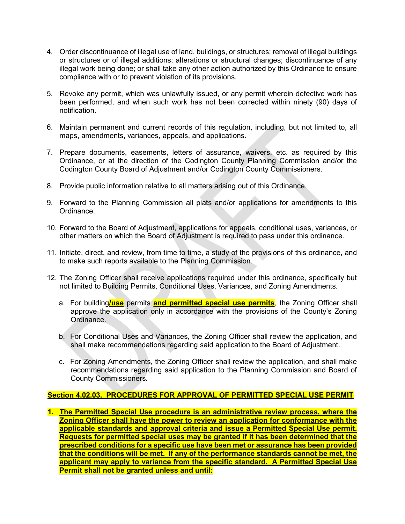- 4. Order discontinuance of illegal use of land, buildings, or structures; removal of illegal buildings or structures or of illegal additions; alterations or structural changes; discontinuance of any illegal work being done; or shall take any other action authorized by this Ordinance to ensure compliance with or to prevent violation of its provisions.
- 5. Revoke any permit, which was unlawfully issued, or any permit wherein defective work has been performed, and when such work has not been corrected within ninety (90) days of notification.
- 6. Maintain permanent and current records of this regulation, including, but not limited to, all maps, amendments, variances, appeals, and applications.
- 7. Prepare documents, easements, letters of assurance, waivers, etc. as required by this Ordinance, or at the direction of the Codington County Planning Commission and/or the Codington County Board of Adjustment and/or Codington County Commissioners.
- 8. Provide public information relative to all matters arising out of this Ordinance.
- 9. Forward to the Planning Commission all plats and/or applications for amendments to this Ordinance.
- 10. Forward to the Board of Adjustment, applications for appeals, conditional uses, variances, or other matters on which the Board of Adjustment is required to pass under this ordinance.
- 11. Initiate, direct, and review, from time to time, a study of the provisions of this ordinance, and to make such reports available to the Planning Commission.
- 12. The Zoning Officer shall receive applications required under this ordinance, specifically but not limited to Building Permits, Conditional Uses, Variances, and Zoning Amendments.
	- a. For building/use permits and permitted special use permits, the Zoning Officer shall approve the application only in accordance with the provisions of the County's Zoning Ordinance.
	- b. For Conditional Uses and Variances, the Zoning Officer shall review the application, and shall make recommendations regarding said application to the Board of Adjustment.
	- c. For Zoning Amendments, the Zoning Officer shall review the application, and shall make recommendations regarding said application to the Planning Commission and Board of County Commissioners.

# Section 4.02.03. PROCEDURES FOR APPROVAL OF PERMITTED SPECIAL USE PERMIT

1. The Permitted Special Use procedure is an administrative review process, where the Zoning Officer shall have the power to review an application for conformance with the applicable standards and approval criteria and issue a Permitted Special Use permit. Requests for permitted special uses may be granted if it has been determined that the prescribed conditions for a specific use have been met or assurance has been provided that the conditions will be met. If any of the performance standards cannot be met, the applicant may apply to variance from the specific standard. A Permitted Special Use Permit shall not be granted unless and until: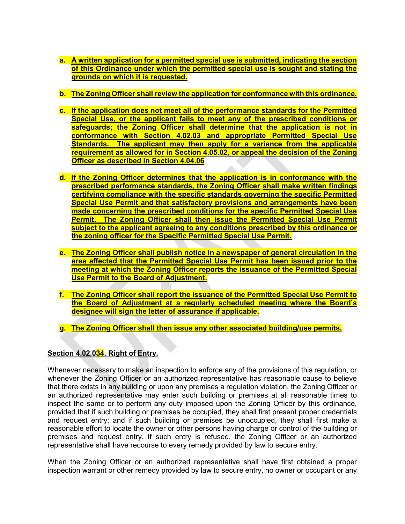- a. A written application for a permitted special use is submitted, indicating the section of this Ordinance under which the permitted special use is sought and stating the grounds on which it is requested.
- b. The Zoning Officer shall review the application for conformance with this ordinance.
- c. If the application does not meet all of the performance standards for the Permitted Special Use, or the applicant fails to meet any of the prescribed conditions or safeguards; the Zoning Officer shall determine that the application is not in conformance with Section 4.02.03 and appropriate Permitted Special Use Standards. The applicant may then apply for a variance from the applicable requirement as allowed for in Section 4.05.02, or appeal the decision of the Zoning Officer as described in Section 4.04.06
- d. If the Zoning Officer determines that the application is in conformance with the prescribed performance standards, the Zoning Officer shall make written findings certifying compliance with the specific standards governing the specific Permitted Special Use Permit and that satisfactory provisions and arrangements have been made concerning the prescribed conditions for the specific Permitted Special Use Permit. The Zoning Officer shall then issue the Permitted Special Use Permit subject to the applicant agreeing to any conditions prescribed by this ordinance or the zoning officer for the Specific Permitted Special Use Permit.
- e. The Zoning Officer shall publish notice in a newspaper of general circulation in the area affected that the Permitted Special Use Permit has been issued prior to the meeting at which the Zoning Officer reports the issuance of the Permitted Special Use Permit to the Board of Adjustment.
- f. The Zoning Officer shall report the issuance of the Permitted Special Use Permit to the Board of Adjustment at a regularly scheduled meeting where the Board's designee will sign the letter of assurance if applicable.
- g. The Zoning Officer shall then issue any other associated building/use permits.

# Section 4.02.034. Right of Entry.

Whenever necessary to make an inspection to enforce any of the provisions of this regulation, or whenever the Zoning Officer or an authorized representative has reasonable cause to believe that there exists in any building or upon any premises a regulation violation, the Zoning Officer or an authorized representative may enter such building or premises at all reasonable times to inspect the same or to perform any duty imposed upon the Zoning Officer by this ordinance, provided that if such building or premises be occupied, they shall first present proper credentials and request entry; and if such building or premises be unoccupied, they shall first make a reasonable effort to locate the owner or other persons having charge or control of the building or premises and request entry. If such entry is refused, the Zoning Officer or an authorized representative shall have recourse to every remedy provided by law to secure entry.

When the Zoning Officer or an authorized representative shall have first obtained a proper inspection warrant or other remedy provided by law to secure entry, no owner or occupant or any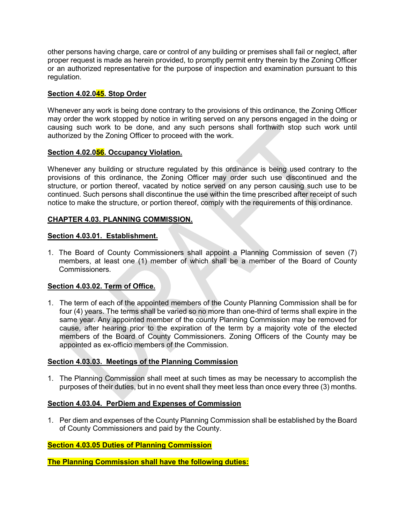other persons having charge, care or control of any building or premises shall fail or neglect, after proper request is made as herein provided, to promptly permit entry therein by the Zoning Officer or an authorized representative for the purpose of inspection and examination pursuant to this regulation.

# Section 4.02.045. Stop Order

Whenever any work is being done contrary to the provisions of this ordinance, the Zoning Officer may order the work stopped by notice in writing served on any persons engaged in the doing or causing such work to be done, and any such persons shall forthwith stop such work until authorized by the Zoning Officer to proceed with the work.

#### Section 4.02.056. Occupancy Violation.

Whenever any building or structure regulated by this ordinance is being used contrary to the provisions of this ordinance, the Zoning Officer may order such use discontinued and the structure, or portion thereof, vacated by notice served on any person causing such use to be continued. Such persons shall discontinue the use within the time prescribed after receipt of such notice to make the structure, or portion thereof, comply with the requirements of this ordinance.

#### CHAPTER 4.03. PLANNING COMMISSION.

#### Section 4.03.01. Establishment.

1. The Board of County Commissioners shall appoint a Planning Commission of seven (7) members, at least one (1) member of which shall be a member of the Board of County **Commissioners** 

# Section 4.03.02. Term of Office.

1. The term of each of the appointed members of the County Planning Commission shall be for four (4) years. The terms shall be varied so no more than one-third of terms shall expire in the same year. Any appointed member of the county Planning Commission may be removed for cause, after hearing prior to the expiration of the term by a majority vote of the elected members of the Board of County Commissioners. Zoning Officers of the County may be appointed as ex-officio members of the Commission.

#### Section 4.03.03. Meetings of the Planning Commission

1. The Planning Commission shall meet at such times as may be necessary to accomplish the purposes of their duties, but in no event shall they meet less than once every three (3) months.

#### Section 4.03.04. PerDiem and Expenses of Commission

1. Per diem and expenses of the County Planning Commission shall be established by the Board of County Commissioners and paid by the County.

# Section 4.03.05 Duties of Planning Commission

The Planning Commission shall have the following duties: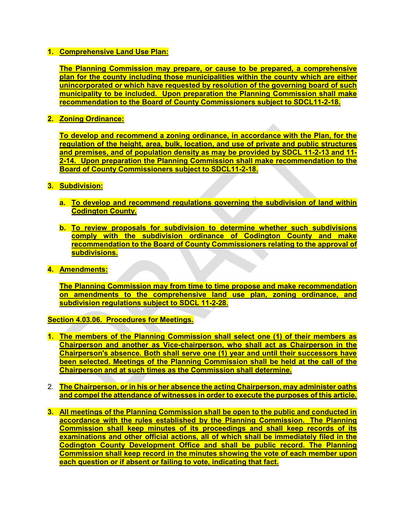### 1. Comprehensive Land Use Plan:

The Planning Commission may prepare, or cause to be prepared, a comprehensive plan for the county including those municipalities within the county which are either unincorporated or which have requested by resolution of the governing board of such municipality to be included. Upon preparation the Planning Commission shall make recommendation to the Board of County Commissioners subject to SDCL11-2-18.

# 2. Zoning Ordinance:

To develop and recommend a zoning ordinance, in accordance with the Plan, for the regulation of the height, area, bulk, location, and use of private and public structures and premises, and of population density as may be provided by SDCL 11-2-13 and 11- 2-14. Upon preparation the Planning Commission shall make recommendation to the Board of County Commissioners subject to SDCL11-2-18.

#### 3. Subdivision:

- a. To develop and recommend regulations governing the subdivision of land within Codington County.
- b. To review proposals for subdivision to determine whether such subdivisions comply with the subdivision ordinance of Codington County and make recommendation to the Board of County Commissioners relating to the approval of subdivisions.
- 4. Amendments:

The Planning Commission may from time to time propose and make recommendation on amendments to the comprehensive land use plan, zoning ordinance, and subdivision regulations subject to SDCL 11-2-28.

Section 4.03.06. Procedures for Meetings.

- 1. The members of the Planning Commission shall select one (1) of their members as Chairperson and another as Vice-chairperson, who shall act as Chairperson in the Chairperson's absence. Both shall serve one (1) year and until their successors have been selected. Meetings of the Planning Commission shall be held at the call of the Chairperson and at such times as the Commission shall determine.
- 2. The Chairperson, or in his or her absence the acting Chairperson, may administer oaths and compel the attendance of witnesses in order to execute the purposes of this article.
- 3. All meetings of the Planning Commission shall be open to the public and conducted in accordance with the rules established by the Planning Commission. The Planning Commission shall keep minutes of its proceedings and shall keep records of its examinations and other official actions, all of which shall be immediately filed in the Codington County Development Office and shall be public record. The Planning Commission shall keep record in the minutes showing the vote of each member upon each question or if absent or failing to vote, indicating that fact.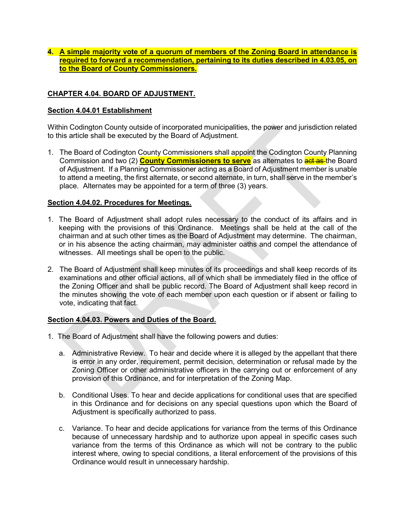4. A simple majority vote of a quorum of members of the Zoning Board in attendance is required to forward a recommendation, pertaining to its duties described in 4.03.05, on to the Board of County Commissioners.

# CHAPTER 4.04. BOARD OF ADJUSTMENT.

### Section 4.04.01 Establishment

Within Codington County outside of incorporated municipalities, the power and jurisdiction related to this article shall be executed by the Board of Adjustment.

1. The Board of Codington County Commissioners shall appoint the Codington County Planning Commission and two (2) **County Commissioners to serve** as alternates to **act as** the Board of Adjustment. If a Planning Commissioner acting as a Board of Adjustment member is unable to attend a meeting, the first alternate, or second alternate, in turn, shall serve in the member's place. Alternates may be appointed for a term of three (3) years.

#### Section 4.04.02. Procedures for Meetings.

- 1. The Board of Adjustment shall adopt rules necessary to the conduct of its affairs and in keeping with the provisions of this Ordinance. Meetings shall be held at the call of the chairman and at such other times as the Board of Adjustment may determine. The chairman, or in his absence the acting chairman, may administer oaths and compel the attendance of witnesses. All meetings shall be open to the public.
- 2. The Board of Adjustment shall keep minutes of its proceedings and shall keep records of its examinations and other official actions, all of which shall be immediately filed in the office of the Zoning Officer and shall be public record. The Board of Adjustment shall keep record in the minutes showing the vote of each member upon each question or if absent or failing to vote, indicating that fact.

# Section 4.04.03. Powers and Duties of the Board.

- 1. The Board of Adjustment shall have the following powers and duties:
	- a. Administrative Review. To hear and decide where it is alleged by the appellant that there is error in any order, requirement, permit decision, determination or refusal made by the Zoning Officer or other administrative officers in the carrying out or enforcement of any provision of this Ordinance, and for interpretation of the Zoning Map.
	- b. Conditional Uses. To hear and decide applications for conditional uses that are specified in this Ordinance and for decisions on any special questions upon which the Board of Adjustment is specifically authorized to pass.
	- c. Variance. To hear and decide applications for variance from the terms of this Ordinance because of unnecessary hardship and to authorize upon appeal in specific cases such variance from the terms of this Ordinance as which will not be contrary to the public interest where, owing to special conditions, a literal enforcement of the provisions of this Ordinance would result in unnecessary hardship.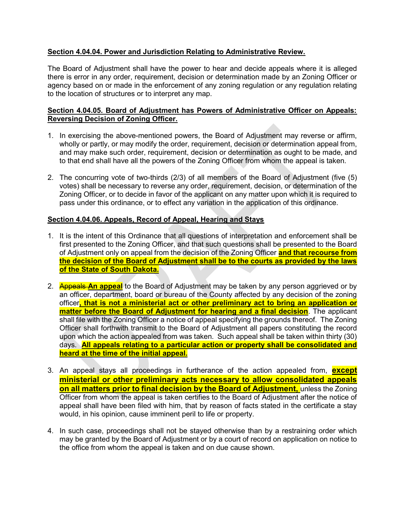# Section 4.04.04. Power and Jurisdiction Relating to Administrative Review.

The Board of Adjustment shall have the power to hear and decide appeals where it is alleged there is error in any order, requirement, decision or determination made by an Zoning Officer or agency based on or made in the enforcement of any zoning regulation or any regulation relating to the location of structures or to interpret any map.

# Section 4.04.05. Board of Adjustment has Powers of Administrative Officer on Appeals: Reversing Decision of Zoning Officer.

- 1. In exercising the above-mentioned powers, the Board of Adjustment may reverse or affirm, wholly or partly, or may modify the order, requirement, decision or determination appeal from, and may make such order, requirement, decision or determination as ought to be made, and to that end shall have all the powers of the Zoning Officer from whom the appeal is taken.
- 2. The concurring vote of two-thirds (2/3) of all members of the Board of Adjustment (five (5) votes) shall be necessary to reverse any order, requirement, decision, or determination of the Zoning Officer, or to decide in favor of the applicant on any matter upon which it is required to pass under this ordinance, or to effect any variation in the application of this ordinance.

# Section 4.04.06. Appeals, Record of Appeal, Hearing and Stays

- 1. It is the intent of this Ordinance that all questions of interpretation and enforcement shall be first presented to the Zoning Officer, and that such questions shall be presented to the Board of Adjustment only on appeal from the decision of the Zoning Officer and that recourse from the decision of the Board of Adjustment shall be to the courts as provided by the laws of the State of South Dakota.
- 2. Appeals An appeal to the Board of Adjustment may be taken by any person aggrieved or by an officer, department, board or bureau of the County affected by any decision of the zoning officer, that is not a ministerial act or other preliminary act to bring an application or matter before the Board of Adjustment for hearing and a final decision. The applicant shall file with the Zoning Officer a notice of appeal specifying the grounds thereof. The Zoning Officer shall forthwith transmit to the Board of Adjustment all papers constituting the record upon which the action appealed from was taken. Such appeal shall be taken within thirty (30) days. All appeals relating to a particular action or property shall be consolidated and heard at the time of the initial appeal.
- 3. An appeal stays all proceedings in furtherance of the action appealed from, **except** ministerial or other preliminary acts necessary to allow consolidated appeals on all matters prior to final decision by the Board of Adjustment, unless the Zoning Officer from whom the appeal is taken certifies to the Board of Adjustment after the notice of appeal shall have been filed with him, that by reason of facts stated in the certificate a stay would, in his opinion, cause imminent peril to life or property.
- 4. In such case, proceedings shall not be stayed otherwise than by a restraining order which may be granted by the Board of Adjustment or by a court of record on application on notice to the office from whom the appeal is taken and on due cause shown.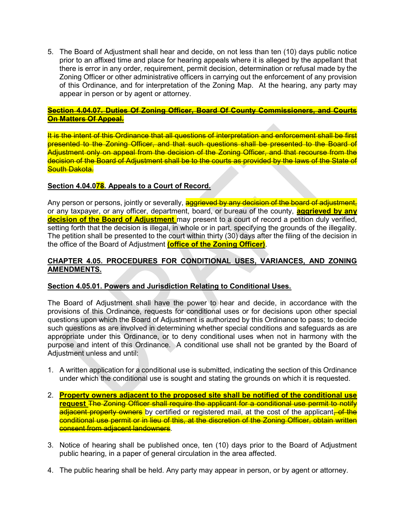5. The Board of Adjustment shall hear and decide, on not less than ten (10) days public notice prior to an affixed time and place for hearing appeals where it is alleged by the appellant that there is error in any order, requirement, permit decision, determination or refusal made by the Zoning Officer or other administrative officers in carrying out the enforcement of any provision of this Ordinance, and for interpretation of the Zoning Map. At the hearing, any party may appear in person or by agent or attorney.

### Section 4.04.07. Duties Of Zoning Officer, Board Of County Commissioners, and Courts On Matters Of Appeal.

It is the intent of this Ordinance that all questions of interpretation and enforcement shall be first presented to the Zoning Officer, and that such questions shall be presented to the Board of Adjustment only on appeal from the decision of the Zoning Officer, and that recourse from the decision of the Board of Adjustment shall be to the courts as provided by the laws of the State of **South Dakota.** 

# Section 4.04.078. Appeals to a Court of Record.

Any person or persons, jointly or severally, aggrieved by any decision of the board of adjustment, or any taxpayer, or any officer, department, board, or bureau of the county, **aggrieved by any** decision of the Board of Adjustment may present to a court of record a petition duly verified, setting forth that the decision is illegal, in whole or in part, specifying the grounds of the illegality. The petition shall be presented to the court within thirty (30) days after the filing of the decision in the office of the Board of Adjustment (office of the Zoning Officer).

# CHAPTER 4.05. PROCEDURES FOR CONDITIONAL USES, VARIANCES, AND ZONING AMENDMENTS.

# Section 4.05.01. Powers and Jurisdiction Relating to Conditional Uses.

The Board of Adjustment shall have the power to hear and decide, in accordance with the provisions of this Ordinance, requests for conditional uses or for decisions upon other special questions upon which the Board of Adjustment is authorized by this Ordinance to pass; to decide such questions as are involved in determining whether special conditions and safeguards as are appropriate under this Ordinance, or to deny conditional uses when not in harmony with the purpose and intent of this Ordinance. A conditional use shall not be granted by the Board of Adjustment unless and until:

- 1. A written application for a conditional use is submitted, indicating the section of this Ordinance under which the conditional use is sought and stating the grounds on which it is requested.
- 2. Property owners adjacent to the proposed site shall be notified of the conditional use request The Zoning Officer shall require the applicant for a conditional use permit to notify adjacent property owners by certified or registered mail, at the cost of the applicant. of the conditional use permit or in lieu of this, at the discretion of the Zoning Officer, obtain written consent from adjacent landowners.
- 3. Notice of hearing shall be published once, ten (10) days prior to the Board of Adjustment public hearing, in a paper of general circulation in the area affected.
- 4. The public hearing shall be held. Any party may appear in person, or by agent or attorney.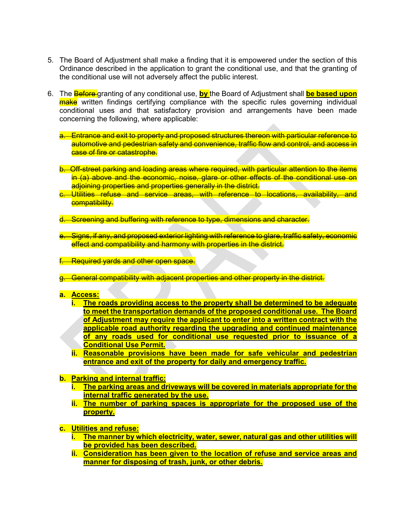- 5. The Board of Adjustment shall make a finding that it is empowered under the section of this Ordinance described in the application to grant the conditional use, and that the granting of the conditional use will not adversely affect the public interest.
- 6. The **Before** granting of any conditional use, by the Board of Adjustment shall **be based upon** make written findings certifying compliance with the specific rules governing individual conditional uses and that satisfactory provision and arrangements have been made concerning the following, where applicable:
	- a. Entrance and exit to property and proposed structures thereon with particular reference to automotive and pedestrian safety and convenience, traffic flow and control, and access in case of fire or catastrophe.
	- b. Off-street parking and loading areas where required, with particular attention to the items in (a) above and the economic, noise, glare or other effects of the conditional use on adjoining properties and properties generally in the district.
	- c. Utilities refuse and service areas, with reference to locations, availability, and compatibility.
	- d. Screening and buffering with reference to type, dimensions and character.
	- e. Signs, if any, and proposed exterior lighting with reference to glare, traffic safety, economic effect and compatibility and harmony with properties in the district.
	- **Required vards and other open space.**
	- g. General compatibility with adjacent properties and other property in the district.
	- a. Access:
		- i. The roads providing access to the property shall be determined to be adequate to meet the transportation demands of the proposed conditional use. The Board of Adjustment may require the applicant to enter into a written contract with the applicable road authority regarding the upgrading and continued maintenance of any roads used for conditional use requested prior to issuance of a Conditional Use Permit.
		- ii. Reasonable provisions have been made for safe vehicular and pedestrian entrance and exit of the property for daily and emergency traffic.
	- b. Parking and internal traffic:
		- i. The parking areas and driveways will be covered in materials appropriate for the internal traffic generated by the use.
		- ii. The number of parking spaces is appropriate for the proposed use of the property.
	- c. Utilities and refuse:
		- i. The manner by which electricity, water, sewer, natural gas and other utilities will be provided has been described.
		- ii. Consideration has been given to the location of refuse and service areas and manner for disposing of trash, junk, or other debris.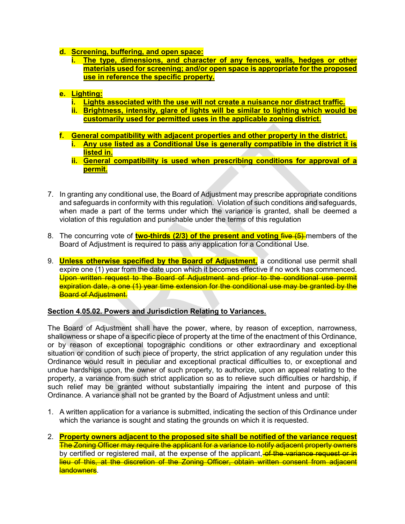- d. Screening, buffering, and open space:
	- i. The type, dimensions, and character of any fences, walls, hedges or other materials used for screening; and/or open space is appropriate for the proposed use in reference the specific property.
- e. Lighting:
	- i. Lights associated with the use will not create a nuisance nor distract traffic.
	- ii. Brightness, intensity, glare of lights will be similar to lighting which would be customarily used for permitted uses in the applicable zoning district.
- f. General compatibility with adjacent properties and other property in the district.
	- i. Any use listed as a Conditional Use is generally compatible in the district it is listed in.
	- ii. General compatibility is used when prescribing conditions for approval of a permit.
- 7. In granting any conditional use, the Board of Adjustment may prescribe appropriate conditions and safeguards in conformity with this regulation. Violation of such conditions and safeguards, when made a part of the terms under which the variance is granted, shall be deemed a violation of this regulation and punishable under the terms of this regulation
- 8. The concurring vote of **two-thirds (2/3) of the present and voting five (5)** members of the Board of Adjustment is required to pass any application for a Conditional Use.
- 9. **Unless otherwise specified by the Board of Adjustment**, a conditional use permit shall expire one (1) year from the date upon which it becomes effective if no work has commenced. Upon written request to the Board of Adjustment and prior to the conditional use permit expiration date, a one (1) year time extension for the conditional use may be granted by the **Board of Adjustment.**

#### Section 4.05.02. Powers and Jurisdiction Relating to Variances.

The Board of Adjustment shall have the power, where, by reason of exception, narrowness, shallowness or shape of a specific piece of property at the time of the enactment of this Ordinance, or by reason of exceptional topographic conditions or other extraordinary and exceptional situation or condition of such piece of property, the strict application of any regulation under this Ordinance would result in peculiar and exceptional practical difficulties to, or exceptional and undue hardships upon, the owner of such property, to authorize, upon an appeal relating to the property, a variance from such strict application so as to relieve such difficulties or hardship, if such relief may be granted without substantially impairing the intent and purpose of this Ordinance. A variance shall not be granted by the Board of Adjustment unless and until:

- 1. A written application for a variance is submitted, indicating the section of this Ordinance under which the variance is sought and stating the grounds on which it is requested.
- 2. Property owners adjacent to the proposed site shall be notified of the variance request The Zoning Officer may require the applicant for a variance to notify adjacent property owners by certified or registered mail, at the expense of the applicant, of the variance request or in lieu of this, at the discretion of the Zoning Officer, obtain written consent from adjacent landowners.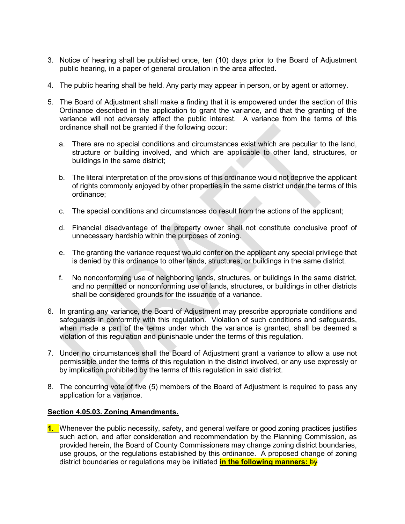- 3. Notice of hearing shall be published once, ten (10) days prior to the Board of Adjustment public hearing, in a paper of general circulation in the area affected.
- 4. The public hearing shall be held. Any party may appear in person, or by agent or attorney.
- 5. The Board of Adjustment shall make a finding that it is empowered under the section of this Ordinance described in the application to grant the variance, and that the granting of the variance will not adversely affect the public interest. A variance from the terms of this ordinance shall not be granted if the following occur:
	- a. There are no special conditions and circumstances exist which are peculiar to the land, structure or building involved, and which are applicable to other land, structures, or buildings in the same district;
	- b. The literal interpretation of the provisions of this ordinance would not deprive the applicant of rights commonly enjoyed by other properties in the same district under the terms of this ordinance;
	- c. The special conditions and circumstances do result from the actions of the applicant;
	- d. Financial disadvantage of the property owner shall not constitute conclusive proof of unnecessary hardship within the purposes of zoning.
	- e. The granting the variance request would confer on the applicant any special privilege that is denied by this ordinance to other lands, structures, or buildings in the same district.
	- f. No nonconforming use of neighboring lands, structures, or buildings in the same district, and no permitted or nonconforming use of lands, structures, or buildings in other districts shall be considered grounds for the issuance of a variance.
- 6. In granting any variance, the Board of Adjustment may prescribe appropriate conditions and safeguards in conformity with this regulation. Violation of such conditions and safeguards, when made a part of the terms under which the variance is granted, shall be deemed a violation of this regulation and punishable under the terms of this regulation.
- 7. Under no circumstances shall the Board of Adjustment grant a variance to allow a use not permissible under the terms of this regulation in the district involved, or any use expressly or by implication prohibited by the terms of this regulation in said district.
- 8. The concurring vote of five (5) members of the Board of Adjustment is required to pass any application for a variance.

#### Section 4.05.03. Zoning Amendments.

1. Whenever the public necessity, safety, and general welfare or good zoning practices justifies such action, and after consideration and recommendation by the Planning Commission, as provided herein, the Board of County Commissioners may change zoning district boundaries, use groups, or the regulations established by this ordinance. A proposed change of zoning district boundaries or regulations may be initiated *in the following manners: by*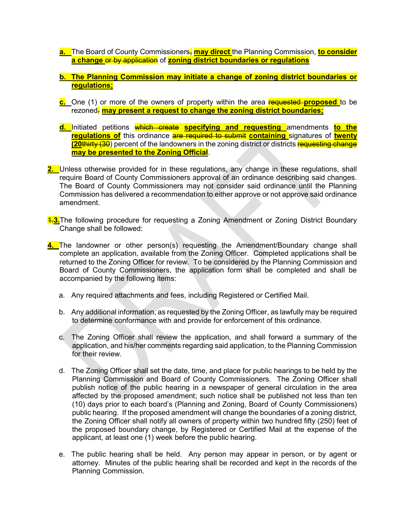- a. The Board of County Commissioners, may direct the Planning Commission, to consider a change or by application of zoning district boundaries or regulations
- b. The Planning Commission may initiate a change of zoning district boundaries or regulations;
- c. One (1) or more of the owners of property within the area requested proposed to be rezoned. may present a request to change the zoning district boundaries;
- d. Initiated petitions which create specifying and requesting amendments to the requiations of this ordinance are required to submit containing signatures of twenty (20thirty (30) percent of the landowners in the zoning district or districts requesting change may be presented to the Zoning Official.
- 2. Unless otherwise provided for in these regulations, any change in these regulations, shall require Board of County Commissioners approval of an ordinance describing said changes. The Board of County Commissioners may not consider said ordinance until the Planning Commission has delivered a recommendation to either approve or not approve said ordinance amendment.
- **1.3.** The following procedure for requesting a Zoning Amendment or Zoning District Boundary Change shall be followed:
- 4. The landowner or other person(s) requesting the Amendment/Boundary change shall complete an application, available from the Zoning Officer. Completed applications shall be returned to the Zoning Officer for review. To be considered by the Planning Commission and Board of County Commissioners, the application form shall be completed and shall be accompanied by the following items:
	- a. Any required attachments and fees, including Registered or Certified Mail.
	- b. Any additional information, as requested by the Zoning Officer, as lawfully may be required to determine conformance with and provide for enforcement of this ordinance.
	- c. The Zoning Officer shall review the application, and shall forward a summary of the application, and his/her comments regarding said application, to the Planning Commission for their review.
	- d. The Zoning Officer shall set the date, time, and place for public hearings to be held by the Planning Commission and Board of County Commissioners. The Zoning Officer shall publish notice of the public hearing in a newspaper of general circulation in the area affected by the proposed amendment; such notice shall be published not less than ten (10) days prior to each board's (Planning and Zoning, Board of County Commissioners) public hearing. If the proposed amendment will change the boundaries of a zoning district, the Zoning Officer shall notify all owners of property within two hundred fifty (250) feet of the proposed boundary change, by Registered or Certified Mail at the expense of the applicant, at least one (1) week before the public hearing.
	- e. The public hearing shall be held. Any person may appear in person, or by agent or attorney. Minutes of the public hearing shall be recorded and kept in the records of the Planning Commission.